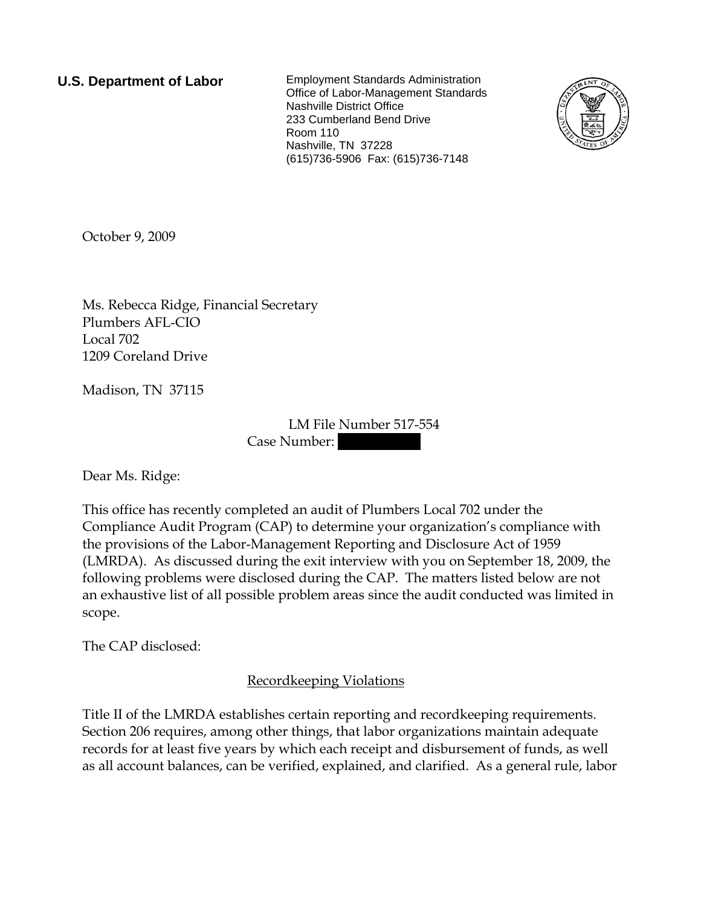**U.S. Department of Labor** Employment Standards Administration Office of Labor-Management Standards Nashville District Office 233 Cumberland Bend Drive Room 110 Nashville, TN 37228 (615)736-5906 Fax: (615)736-7148



October 9, 2009

Ms. Rebecca Ridge, Financial Secretary Plumbers AFL-CIO Local 702 1209 Coreland Drive

Madison, TN 37115

LM File Number 517-554 Case Number:

Dear Ms. Ridge:

This office has recently completed an audit of Plumbers Local 702 under the Compliance Audit Program (CAP) to determine your organization's compliance with the provisions of the Labor-Management Reporting and Disclosure Act of 1959 (LMRDA). As discussed during the exit interview with you on September 18, 2009, the following problems were disclosed during the CAP. The matters listed below are not an exhaustive list of all possible problem areas since the audit conducted was limited in scope.

The CAP disclosed:

Recordkeeping Violations

Title II of the LMRDA establishes certain reporting and recordkeeping requirements. Section 206 requires, among other things, that labor organizations maintain adequate records for at least five years by which each receipt and disbursement of funds, as well as all account balances, can be verified, explained, and clarified. As a general rule, labor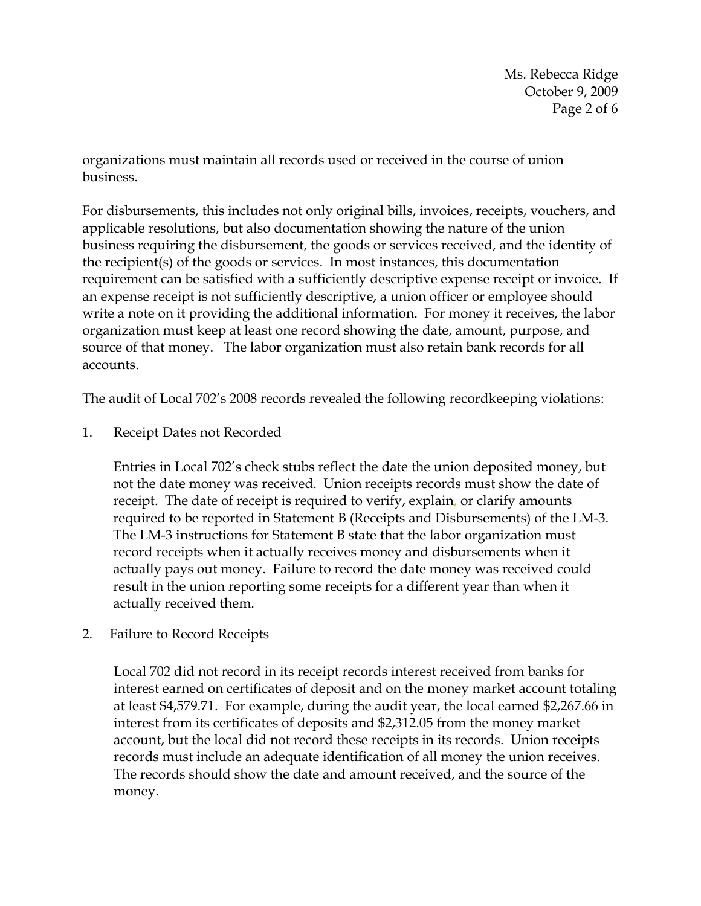Ms. Rebecca Ridge October 9, 2009 Page 2 of 6

organizations must maintain all records used or received in the course of union business.

For disbursements, this includes not only original bills, invoices, receipts, vouchers, and applicable resolutions, but also documentation showing the nature of the union business requiring the disbursement, the goods or services received, and the identity of the recipient(s) of the goods or services. In most instances, this documentation requirement can be satisfied with a sufficiently descriptive expense receipt or invoice. If an expense receipt is not sufficiently descriptive, a union officer or employee should write a note on it providing the additional information. For money it receives, the labor organization must keep at least one record showing the date, amount, purpose, and source of that money. The labor organization must also retain bank records for all accounts.

The audit of Local 702's 2008 records revealed the following recordkeeping violations:

1. Receipt Dates not Recorded

Entries in Local 702's check stubs reflect the date the union deposited money, but not the date money was received. Union receipts records must show the date of receipt. The date of receipt is required to verify, explain, or clarify amounts required to be reported in Statement B (Receipts and Disbursements) of the LM-3. The LM-3 instructions for Statement B state that the labor organization must record receipts when it actually receives money and disbursements when it actually pays out money. Failure to record the date money was received could result in the union reporting some receipts for a different year than when it actually received them.

2. Failure to Record Receipts

Local 702 did not record in its receipt records interest received from banks for interest earned on certificates of deposit and on the money market account totaling at least \$4,579.71. For example, during the audit year, the local earned \$2,267.66 in interest from its certificates of deposits and \$2,312.05 from the money market account, but the local did not record these receipts in its records. Union receipts records must include an adequate identification of all money the union receives. The records should show the date and amount received, and the source of the money.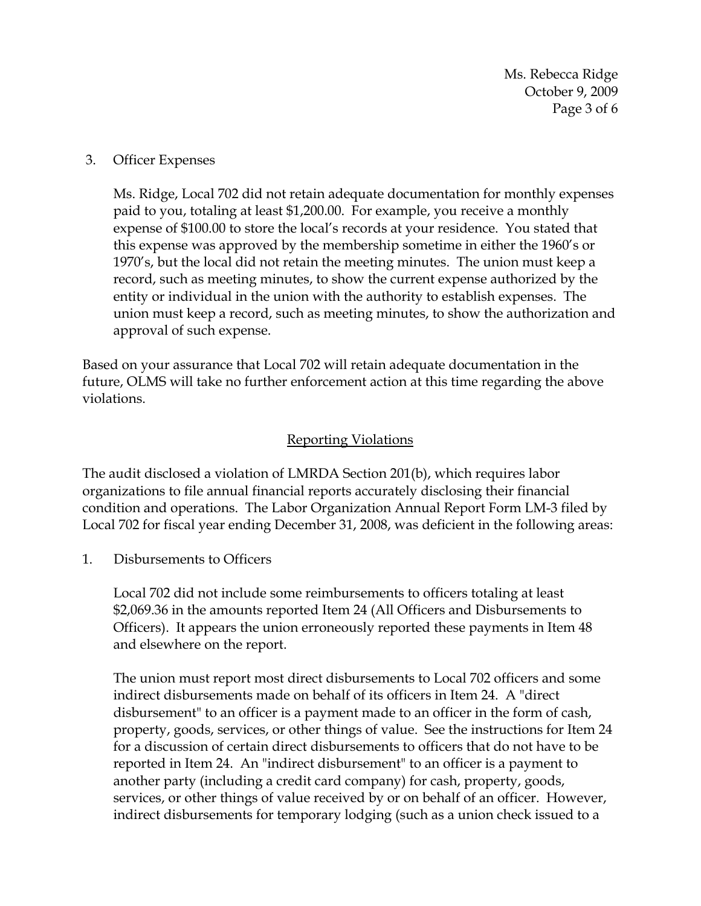Ms. Rebecca Ridge October 9, 2009 Page 3 of 6

## 3. Officer Expenses

Ms. Ridge, Local 702 did not retain adequate documentation for monthly expenses paid to you, totaling at least \$1,200.00. For example, you receive a monthly expense of \$100.00 to store the local's records at your residence. You stated that this expense was approved by the membership sometime in either the 1960's or 1970's, but the local did not retain the meeting minutes. The union must keep a record, such as meeting minutes, to show the current expense authorized by the entity or individual in the union with the authority to establish expenses. The union must keep a record, such as meeting minutes, to show the authorization and approval of such expense.

Based on your assurance that Local 702 will retain adequate documentation in the future, OLMS will take no further enforcement action at this time regarding the above violations.

# Reporting Violations

The audit disclosed a violation of LMRDA Section 201(b), which requires labor organizations to file annual financial reports accurately disclosing their financial condition and operations. The Labor Organization Annual Report Form LM-3 filed by Local 702 for fiscal year ending December 31, 2008, was deficient in the following areas:

1. Disbursements to Officers

Local 702 did not include some reimbursements to officers totaling at least \$2,069.36 in the amounts reported Item 24 (All Officers and Disbursements to Officers). It appears the union erroneously reported these payments in Item 48 and elsewhere on the report.

The union must report most direct disbursements to Local 702 officers and some indirect disbursements made on behalf of its officers in Item 24. A "direct disbursement" to an officer is a payment made to an officer in the form of cash, property, goods, services, or other things of value. See the instructions for Item 24 for a discussion of certain direct disbursements to officers that do not have to be reported in Item 24. An "indirect disbursement" to an officer is a payment to another party (including a credit card company) for cash, property, goods, services, or other things of value received by or on behalf of an officer. However, indirect disbursements for temporary lodging (such as a union check issued to a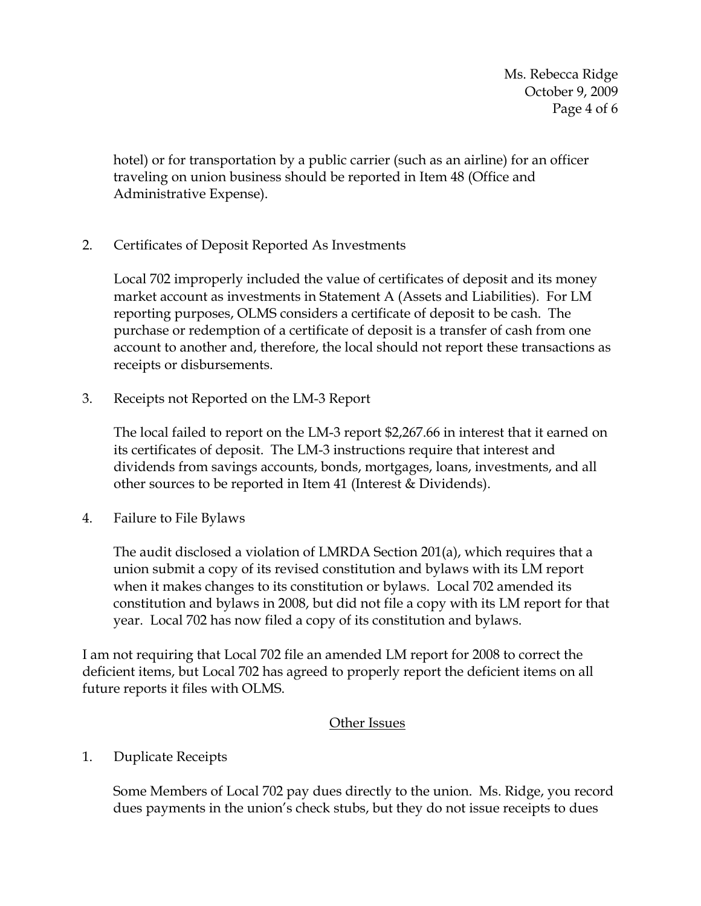Ms. Rebecca Ridge October 9, 2009 Page 4 of 6

hotel) or for transportation by a public carrier (such as an airline) for an officer traveling on union business should be reported in Item 48 (Office and Administrative Expense).

2. Certificates of Deposit Reported As Investments

Local 702 improperly included the value of certificates of deposit and its money market account as investments in Statement A (Assets and Liabilities). For LM reporting purposes, OLMS considers a certificate of deposit to be cash. The purchase or redemption of a certificate of deposit is a transfer of cash from one account to another and, therefore, the local should not report these transactions as receipts or disbursements.

3. Receipts not Reported on the LM-3 Report

The local failed to report on the LM-3 report \$2,267.66 in interest that it earned on its certificates of deposit. The LM-3 instructions require that interest and dividends from savings accounts, bonds, mortgages, loans, investments, and all other sources to be reported in Item 41 (Interest & Dividends).

4. Failure to File Bylaws

The audit disclosed a violation of LMRDA Section 201(a), which requires that a union submit a copy of its revised constitution and bylaws with its LM report when it makes changes to its constitution or bylaws. Local 702 amended its constitution and bylaws in 2008, but did not file a copy with its LM report for that year. Local 702 has now filed a copy of its constitution and bylaws.

I am not requiring that Local 702 file an amended LM report for 2008 to correct the deficient items, but Local 702 has agreed to properly report the deficient items on all future reports it files with OLMS.

## Other Issues

## 1. Duplicate Receipts

Some Members of Local 702 pay dues directly to the union. Ms. Ridge, you record dues payments in the union's check stubs, but they do not issue receipts to dues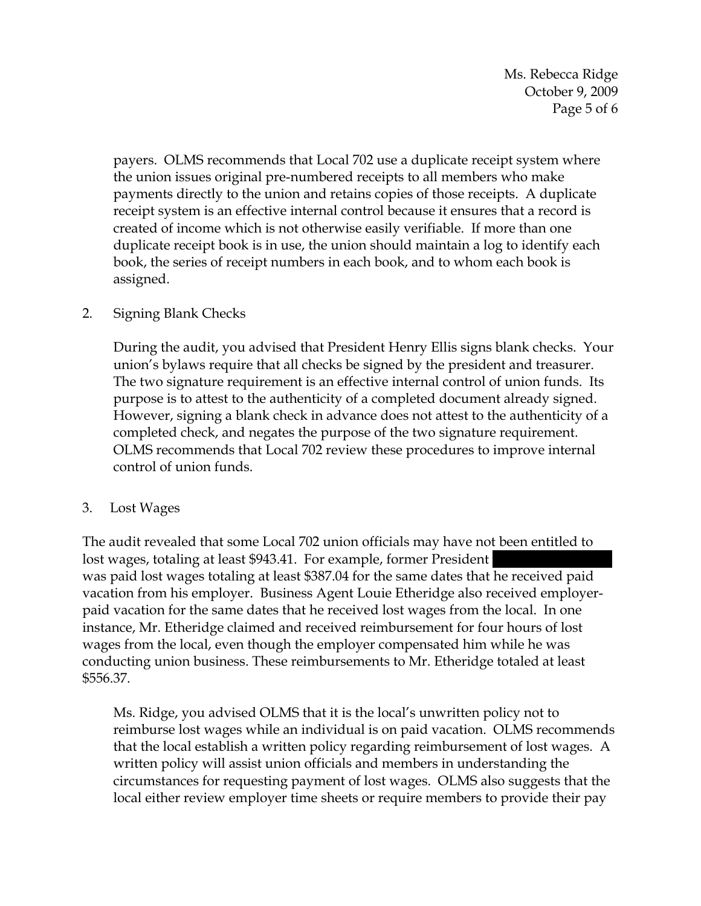Ms. Rebecca Ridge October 9, 2009 Page 5 of 6

payers. OLMS recommends that Local 702 use a duplicate receipt system where the union issues original pre-numbered receipts to all members who make payments directly to the union and retains copies of those receipts. A duplicate receipt system is an effective internal control because it ensures that a record is created of income which is not otherwise easily verifiable. If more than one duplicate receipt book is in use, the union should maintain a log to identify each book, the series of receipt numbers in each book, and to whom each book is assigned.

# 2. Signing Blank Checks

During the audit, you advised that President Henry Ellis signs blank checks. Your union's bylaws require that all checks be signed by the president and treasurer. The two signature requirement is an effective internal control of union funds. Its purpose is to attest to the authenticity of a completed document already signed. However, signing a blank check in advance does not attest to the authenticity of a completed check, and negates the purpose of the two signature requirement. OLMS recommends that Local 702 review these procedures to improve internal control of union funds.

## 3. Lost Wages

The audit revealed that some Local 702 union officials may have not been entitled to lost wages, totaling at least \$943.41. For example, former President was paid lost wages totaling at least \$387.04 for the same dates that he received paid vacation from his employer. Business Agent Louie Etheridge also received employerpaid vacation for the same dates that he received lost wages from the local. In one instance, Mr. Etheridge claimed and received reimbursement for four hours of lost wages from the local, even though the employer compensated him while he was conducting union business. These reimbursements to Mr. Etheridge totaled at least \$556.37.

Ms. Ridge, you advised OLMS that it is the local's unwritten policy not to reimburse lost wages while an individual is on paid vacation. OLMS recommends that the local establish a written policy regarding reimbursement of lost wages. A written policy will assist union officials and members in understanding the circumstances for requesting payment of lost wages. OLMS also suggests that the local either review employer time sheets or require members to provide their pay